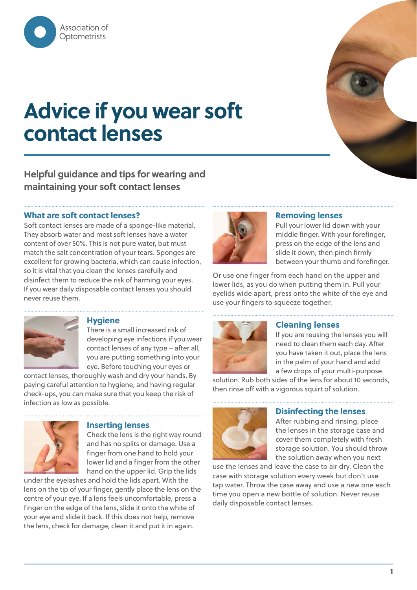

# **Advice if you wear soft contact lenses**

# **Helpful guidance and tips for wearing and maintaining your soft contact lenses**

# **What are soft contact lenses?**

Soft contact lenses are made of a sponge-like material. They absorb water and most soft lenses have a water content of over 50%. This is not pure water, but must match the salt concentration of your tears. Sponges are excellent for growing bacteria, which can cause infection, so it is vital that you clean the lenses carefully and disinfect them to reduce the risk of harming your eyes. If you wear daily disposable contact lenses you should never reuse them.



# **Removing lenses**

Pull your lower lid down with your middle finger. With your forefinger, press on the edge of the lens and slide it down, then pinch firmly between your thumb and forefinger.

Or use one finger from each hand on the upper and lower lids, as you do when putting them in. Pull your eyelids wide apart, press onto the white of the eye and use your fingers to squeeze together.



#### **Hygiene**

There is a small increased risk of developing eye infections if you wear contact lenses of any type – after all, you are putting something into your eye. Before touching your eyes or

contact lenses, thoroughly wash and dry your hands. By paying careful attention to hygiene, and having regular check-ups, you can make sure that you keep the risk of infection as low as possible.



# **Inserting lenses**

Check the lens is the right way round and has no splits or damage. Use a finger from one hand to hold your lower lid and a finger from the other hand on the upper lid. Grip the lids

under the eyelashes and hold the lids apart. With the lens on the tip of your finger, gently place the lens on the centre of your eye. If a lens feels uncomfortable, press a finger on the edge of the lens, slide it onto the white of your eye and slide it back. If this does not help, remove the lens, check for damage, clean it and put it in again.



# **Cleaning lenses**

If you are reusing the lenses you will need to clean them each day. After you have taken it out, place the lens in the palm of your hand and add a few drops of your multi-purpose

solution. Rub both sides of the lens for about 10 seconds, then rinse off with a vigorous squirt of solution.



# **Disinfecting the lenses**

After rubbing and rinsing, place the lenses in the storage case and cover them completely with fresh storage solution. You should throw the solution away when you next

use the lenses and leave the case to air dry. Clean the case with storage solution every week but don't use tap water. Throw the case away and use a new one each time you open a new bottle of solution. Never reuse daily disposable contact lenses.